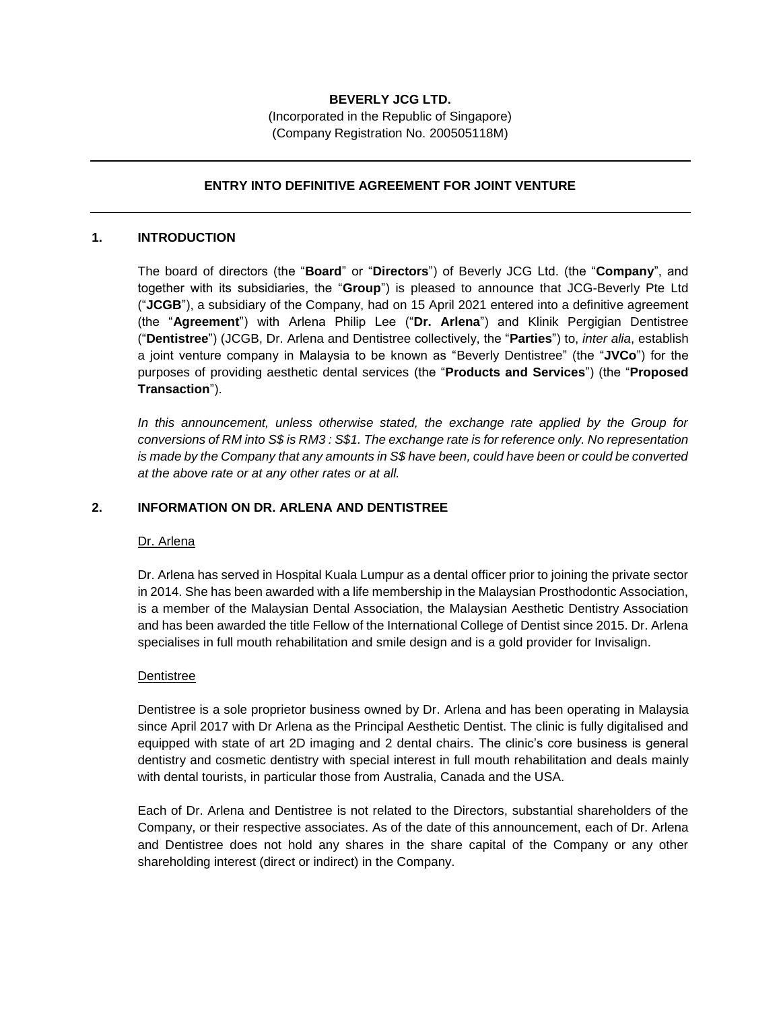# **BEVERLY JCG LTD.**

(Incorporated in the Republic of Singapore) (Company Registration No. 200505118M)

### **ENTRY INTO DEFINITIVE AGREEMENT FOR JOINT VENTURE**

#### **1. INTRODUCTION**

The board of directors (the "**Board**" or "**Directors**") of Beverly JCG Ltd. (the "**Company**", and together with its subsidiaries, the "**Group**") is pleased to announce that JCG-Beverly Pte Ltd ("**JCGB**"), a subsidiary of the Company, had on 15 April 2021 entered into a definitive agreement (the "**Agreement**") with Arlena Philip Lee ("**Dr. Arlena**") and Klinik Pergigian Dentistree ("**Dentistree**") (JCGB, Dr. Arlena and Dentistree collectively, the "**Parties**") to, *inter alia*, establish a joint venture company in Malaysia to be known as "Beverly Dentistree" (the "**JVCo**") for the purposes of providing aesthetic dental services (the "**Products and Services**") (the "**Proposed Transaction**").

*In this announcement, unless otherwise stated, the exchange rate applied by the Group for conversions of RM into S\$ is RM3 : S\$1. The exchange rate is for reference only. No representation is made by the Company that any amounts in S\$ have been, could have been or could be converted at the above rate or at any other rates or at all.*

#### **2. INFORMATION ON DR. ARLENA AND DENTISTREE**

#### Dr. Arlena

Dr. Arlena has served in Hospital Kuala Lumpur as a dental officer prior to joining the private sector in 2014. She has been awarded with a life membership in the Malaysian Prosthodontic Association, is a member of the Malaysian Dental Association, the Malaysian Aesthetic Dentistry Association and has been awarded the title Fellow of the International College of Dentist since 2015. Dr. Arlena specialises in full mouth rehabilitation and smile design and is a gold provider for Invisalign.

#### Dentistree

Dentistree is a sole proprietor business owned by Dr. Arlena and has been operating in Malaysia since April 2017 with Dr Arlena as the Principal Aesthetic Dentist. The clinic is fully digitalised and equipped with state of art 2D imaging and 2 dental chairs. The clinic's core business is general dentistry and cosmetic dentistry with special interest in full mouth rehabilitation and deals mainly with dental tourists, in particular those from Australia, Canada and the USA.

Each of Dr. Arlena and Dentistree is not related to the Directors, substantial shareholders of the Company, or their respective associates. As of the date of this announcement, each of Dr. Arlena and Dentistree does not hold any shares in the share capital of the Company or any other shareholding interest (direct or indirect) in the Company.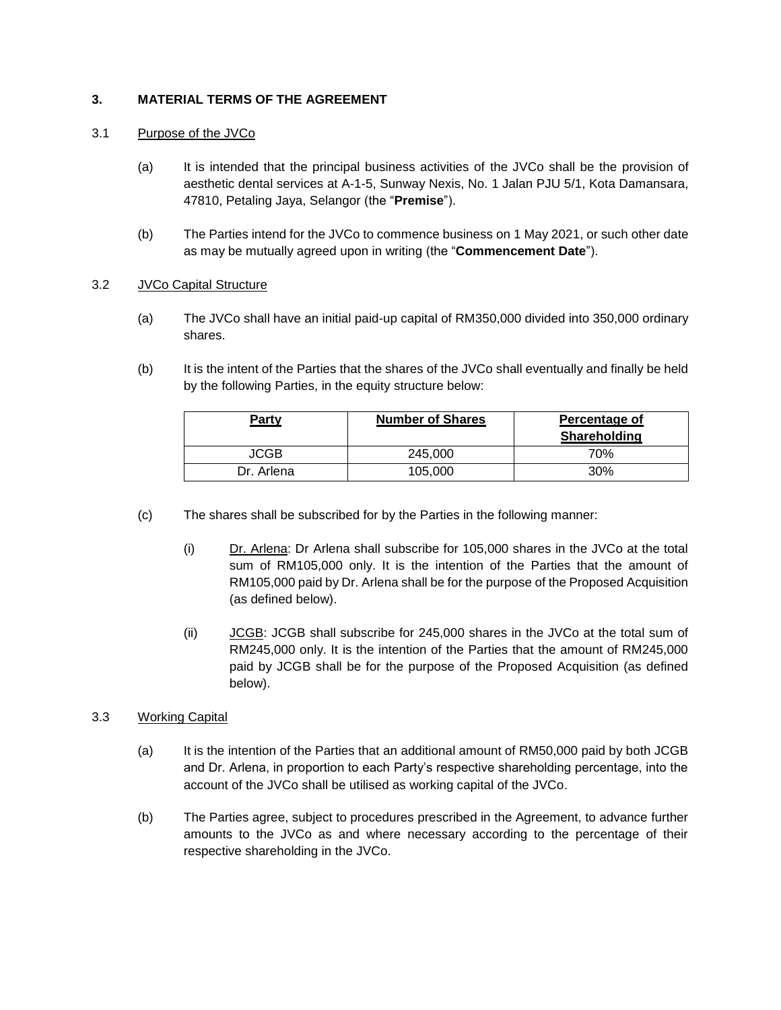# **3. MATERIAL TERMS OF THE AGREEMENT**

# 3.1 Purpose of the JVCo

- (a) It is intended that the principal business activities of the JVCo shall be the provision of aesthetic dental services at A-1-5, Sunway Nexis, No. 1 Jalan PJU 5/1, Kota Damansara, 47810, Petaling Jaya, Selangor (the "**Premise**").
- (b) The Parties intend for the JVCo to commence business on 1 May 2021, or such other date as may be mutually agreed upon in writing (the "**Commencement Date**").

### 3.2 JVCo Capital Structure

- (a) The JVCo shall have an initial paid-up capital of RM350,000 divided into 350,000 ordinary shares.
- (b) It is the intent of the Parties that the shares of the JVCo shall eventually and finally be held by the following Parties, in the equity structure below:

| Party       | <b>Number of Shares</b> | Percentage of<br>Shareholding |
|-------------|-------------------------|-------------------------------|
| <b>JCGB</b> | 245,000                 | 70%                           |
| Dr. Arlena  | 105,000                 | 30%                           |

- (c) The shares shall be subscribed for by the Parties in the following manner:
	- (i) Dr. Arlena: Dr Arlena shall subscribe for 105,000 shares in the JVCo at the total sum of RM105,000 only. It is the intention of the Parties that the amount of RM105,000 paid by Dr. Arlena shall be for the purpose of the Proposed Acquisition (as defined below).
	- (ii) JCGB: JCGB shall subscribe for 245,000 shares in the JVCo at the total sum of RM245,000 only. It is the intention of the Parties that the amount of RM245,000 paid by JCGB shall be for the purpose of the Proposed Acquisition (as defined below).

# 3.3 Working Capital

- (a) It is the intention of the Parties that an additional amount of RM50,000 paid by both JCGB and Dr. Arlena, in proportion to each Party's respective shareholding percentage, into the account of the JVCo shall be utilised as working capital of the JVCo.
- (b) The Parties agree, subject to procedures prescribed in the Agreement, to advance further amounts to the JVCo as and where necessary according to the percentage of their respective shareholding in the JVCo.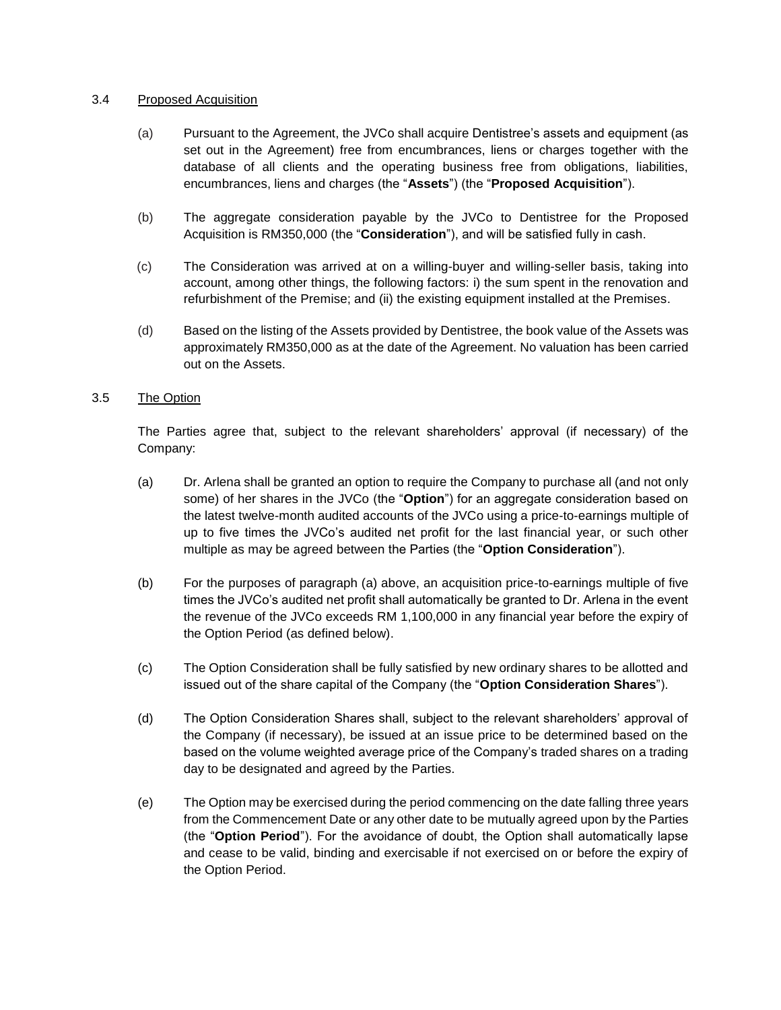### 3.4 Proposed Acquisition

- (a) Pursuant to the Agreement, the JVCo shall acquire Dentistree's assets and equipment (as set out in the Agreement) free from encumbrances, liens or charges together with the database of all clients and the operating business free from obligations, liabilities, encumbrances, liens and charges (the "**Assets**") (the "**Proposed Acquisition**").
- (b) The aggregate consideration payable by the JVCo to Dentistree for the Proposed Acquisition is RM350,000 (the "**Consideration**"), and will be satisfied fully in cash.
- (c) The Consideration was arrived at on a willing-buyer and willing-seller basis, taking into account, among other things, the following factors: i) the sum spent in the renovation and refurbishment of the Premise; and (ii) the existing equipment installed at the Premises.
- (d) Based on the listing of the Assets provided by Dentistree, the book value of the Assets was approximately RM350,000 as at the date of the Agreement. No valuation has been carried out on the Assets.

### 3.5 The Option

The Parties agree that, subject to the relevant shareholders' approval (if necessary) of the Company:

- (a) Dr. Arlena shall be granted an option to require the Company to purchase all (and not only some) of her shares in the JVCo (the "**Option**") for an aggregate consideration based on the latest twelve-month audited accounts of the JVCo using a price-to-earnings multiple of up to five times the JVCo's audited net profit for the last financial year, or such other multiple as may be agreed between the Parties (the "**Option Consideration**").
- (b) For the purposes of paragraph (a) above, an acquisition price-to-earnings multiple of five times the JVCo's audited net profit shall automatically be granted to Dr. Arlena in the event the revenue of the JVCo exceeds RM 1,100,000 in any financial year before the expiry of the Option Period (as defined below).
- (c) The Option Consideration shall be fully satisfied by new ordinary shares to be allotted and issued out of the share capital of the Company (the "**Option Consideration Shares**").
- (d) The Option Consideration Shares shall, subject to the relevant shareholders' approval of the Company (if necessary), be issued at an issue price to be determined based on the based on the volume weighted average price of the Company's traded shares on a trading day to be designated and agreed by the Parties.
- (e) The Option may be exercised during the period commencing on the date falling three years from the Commencement Date or any other date to be mutually agreed upon by the Parties (the "**Option Period**"). For the avoidance of doubt, the Option shall automatically lapse and cease to be valid, binding and exercisable if not exercised on or before the expiry of the Option Period.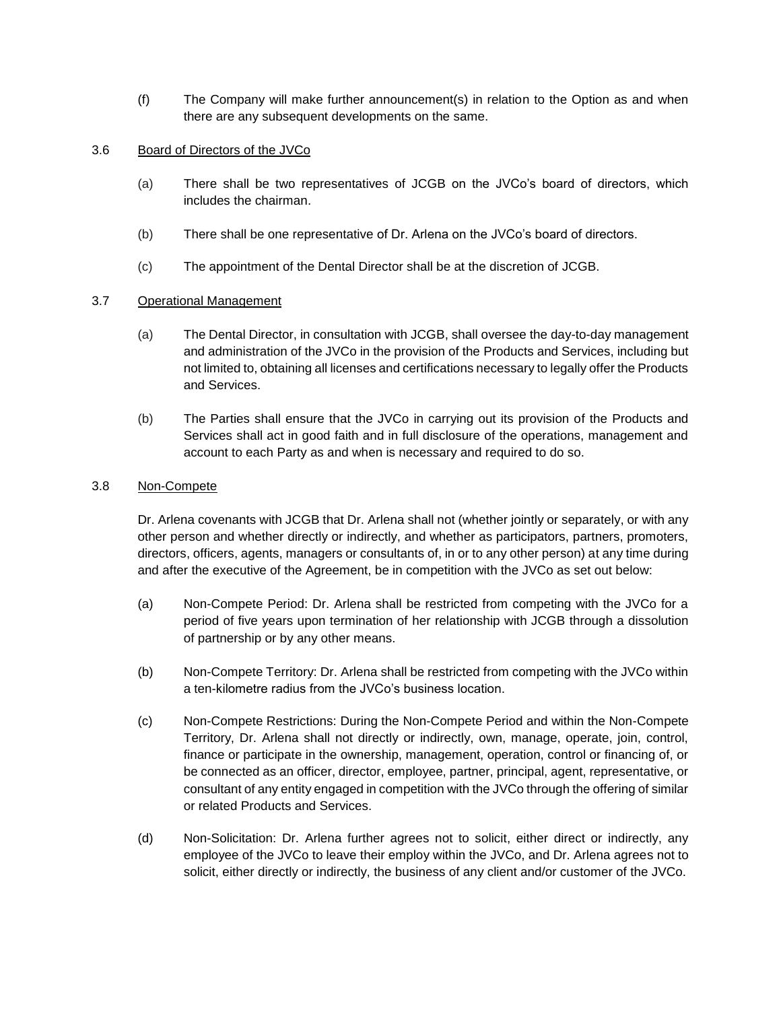(f) The Company will make further announcement(s) in relation to the Option as and when there are any subsequent developments on the same.

### 3.6 Board of Directors of the JVCo

- (a) There shall be two representatives of JCGB on the JVCo's board of directors, which includes the chairman.
- (b) There shall be one representative of Dr. Arlena on the JVCo's board of directors.
- (c) The appointment of the Dental Director shall be at the discretion of JCGB.

# 3.7 Operational Management

- (a) The Dental Director, in consultation with JCGB, shall oversee the day-to-day management and administration of the JVCo in the provision of the Products and Services, including but not limited to, obtaining all licenses and certifications necessary to legally offer the Products and Services.
- (b) The Parties shall ensure that the JVCo in carrying out its provision of the Products and Services shall act in good faith and in full disclosure of the operations, management and account to each Party as and when is necessary and required to do so.

# 3.8 Non-Compete

Dr. Arlena covenants with JCGB that Dr. Arlena shall not (whether jointly or separately, or with any other person and whether directly or indirectly, and whether as participators, partners, promoters, directors, officers, agents, managers or consultants of, in or to any other person) at any time during and after the executive of the Agreement, be in competition with the JVCo as set out below:

- (a) Non-Compete Period: Dr. Arlena shall be restricted from competing with the JVCo for a period of five years upon termination of her relationship with JCGB through a dissolution of partnership or by any other means.
- (b) Non-Compete Territory: Dr. Arlena shall be restricted from competing with the JVCo within a ten-kilometre radius from the JVCo's business location.
- (c) Non-Compete Restrictions: During the Non-Compete Period and within the Non-Compete Territory, Dr. Arlena shall not directly or indirectly, own, manage, operate, join, control, finance or participate in the ownership, management, operation, control or financing of, or be connected as an officer, director, employee, partner, principal, agent, representative, or consultant of any entity engaged in competition with the JVCo through the offering of similar or related Products and Services.
- (d) Non-Solicitation: Dr. Arlena further agrees not to solicit, either direct or indirectly, any employee of the JVCo to leave their employ within the JVCo, and Dr. Arlena agrees not to solicit, either directly or indirectly, the business of any client and/or customer of the JVCo.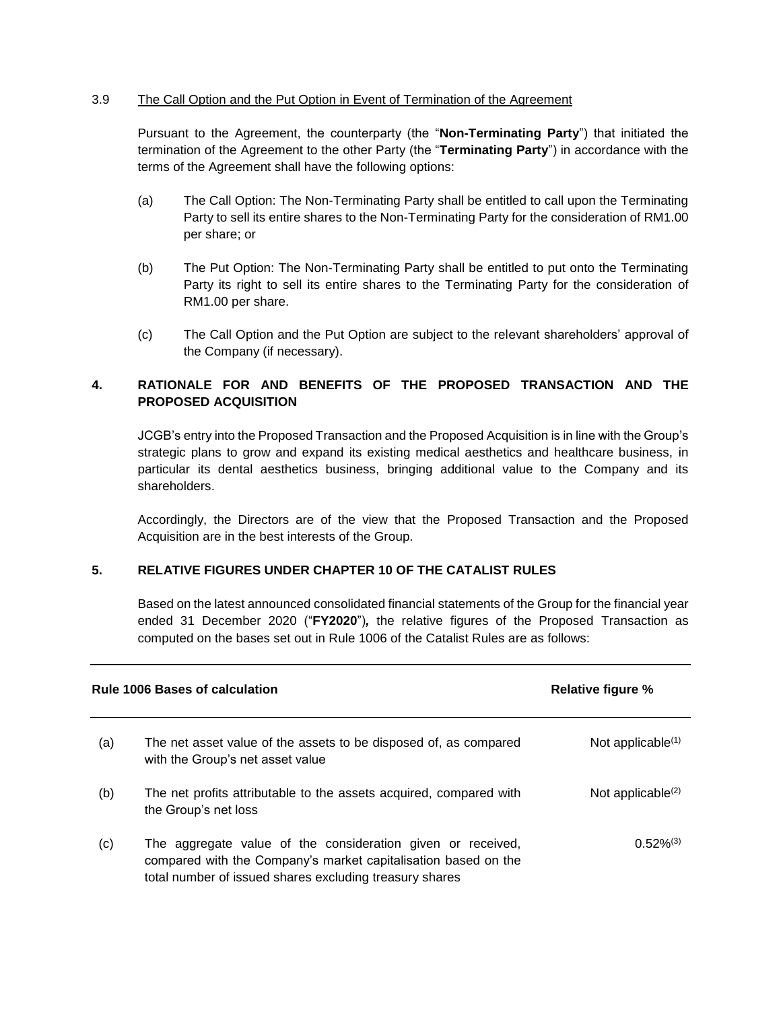# 3.9 The Call Option and the Put Option in Event of Termination of the Agreement

Pursuant to the Agreement, the counterparty (the "**Non-Terminating Party**") that initiated the termination of the Agreement to the other Party (the "**Terminating Party**") in accordance with the terms of the Agreement shall have the following options:

- (a) The Call Option: The Non-Terminating Party shall be entitled to call upon the Terminating Party to sell its entire shares to the Non-Terminating Party for the consideration of RM1.00 per share; or
- (b) The Put Option: The Non-Terminating Party shall be entitled to put onto the Terminating Party its right to sell its entire shares to the Terminating Party for the consideration of RM1.00 per share.
- (c) The Call Option and the Put Option are subject to the relevant shareholders' approval of the Company (if necessary).

# **4. RATIONALE FOR AND BENEFITS OF THE PROPOSED TRANSACTION AND THE PROPOSED ACQUISITION**

JCGB's entry into the Proposed Transaction and the Proposed Acquisition is in line with the Group's strategic plans to grow and expand its existing medical aesthetics and healthcare business, in particular its dental aesthetics business, bringing additional value to the Company and its shareholders.

Accordingly, the Directors are of the view that the Proposed Transaction and the Proposed Acquisition are in the best interests of the Group.

# **5. RELATIVE FIGURES UNDER CHAPTER 10 OF THE CATALIST RULES**

Based on the latest announced consolidated financial statements of the Group for the financial year ended 31 December 2020 ("**FY2020**")*,* the relative figures of the Proposed Transaction as computed on the bases set out in Rule 1006 of the Catalist Rules are as follows:

| <b>Rule 1006 Bases of calculation</b> |                                                                                                                                                                                          | <b>Relative figure %</b> |
|---------------------------------------|------------------------------------------------------------------------------------------------------------------------------------------------------------------------------------------|--------------------------|
| (a)                                   | The net asset value of the assets to be disposed of, as compared<br>with the Group's net asset value                                                                                     | Not applicable $(1)$     |
| (b)                                   | The net profits attributable to the assets acquired, compared with<br>the Group's net loss                                                                                               | Not applicable $(2)$     |
| (c)                                   | The aggregate value of the consideration given or received,<br>compared with the Company's market capitalisation based on the<br>total number of issued shares excluding treasury shares | $0.52\%^{(3)}$           |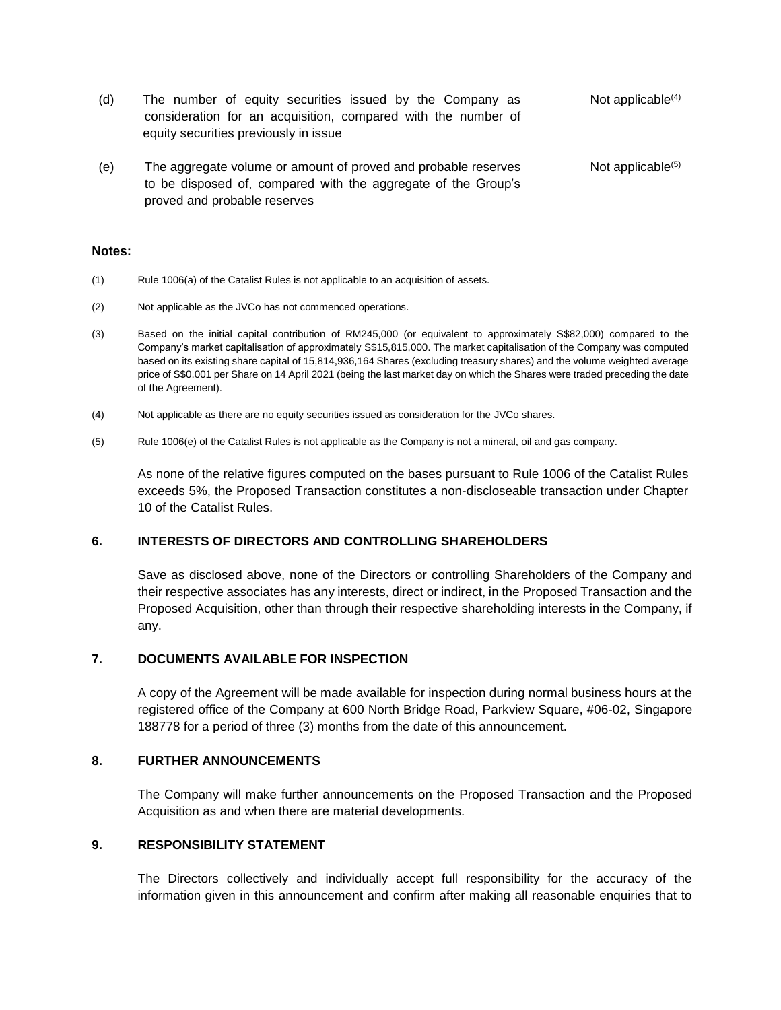- (d) The number of equity securities issued by the Company as consideration for an acquisition, compared with the number of equity securities previously in issue Not applicable<sup>(4)</sup>
- (e) The aggregate volume or amount of proved and probable reserves to be disposed of, compared with the aggregate of the Group's proved and probable reserves Not applicable<sup>(5)</sup>

#### **Notes:**

- (1) Rule 1006(a) of the Catalist Rules is not applicable to an acquisition of assets.
- (2) Not applicable as the JVCo has not commenced operations.
- (3) Based on the initial capital contribution of RM245,000 (or equivalent to approximately S\$82,000) compared to the Company's market capitalisation of approximately S\$15,815,000. The market capitalisation of the Company was computed based on its existing share capital of 15,814,936,164 Shares (excluding treasury shares) and the volume weighted average price of S\$0.001 per Share on 14 April 2021 (being the last market day on which the Shares were traded preceding the date of the Agreement).
- (4) Not applicable as there are no equity securities issued as consideration for the JVCo shares.
- (5) Rule 1006(e) of the Catalist Rules is not applicable as the Company is not a mineral, oil and gas company.

As none of the relative figures computed on the bases pursuant to Rule 1006 of the Catalist Rules exceeds 5%, the Proposed Transaction constitutes a non-discloseable transaction under Chapter 10 of the Catalist Rules.

#### **6. INTERESTS OF DIRECTORS AND CONTROLLING SHAREHOLDERS**

Save as disclosed above, none of the Directors or controlling Shareholders of the Company and their respective associates has any interests, direct or indirect, in the Proposed Transaction and the Proposed Acquisition, other than through their respective shareholding interests in the Company, if any.

### **7. DOCUMENTS AVAILABLE FOR INSPECTION**

A copy of the Agreement will be made available for inspection during normal business hours at the registered office of the Company at 600 North Bridge Road, Parkview Square, #06-02, Singapore 188778 for a period of three (3) months from the date of this announcement.

#### **8. FURTHER ANNOUNCEMENTS**

The Company will make further announcements on the Proposed Transaction and the Proposed Acquisition as and when there are material developments.

#### **9. RESPONSIBILITY STATEMENT**

The Directors collectively and individually accept full responsibility for the accuracy of the information given in this announcement and confirm after making all reasonable enquiries that to